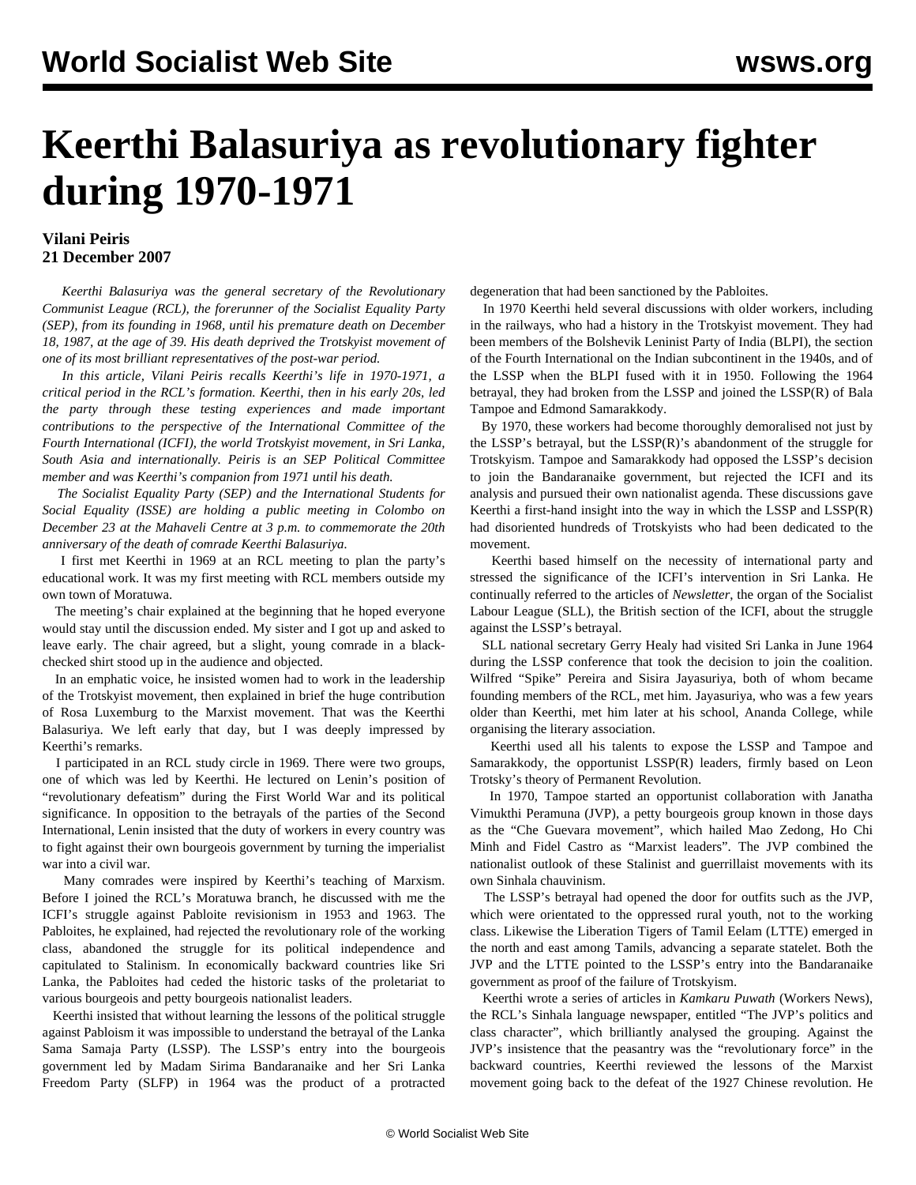## **Keerthi Balasuriya as revolutionary fighter during 1970-1971**

## **Vilani Peiris 21 December 2007**

 *Keerthi Balasuriya was the general secretary of the Revolutionary Communist League (RCL), the forerunner of the Socialist Equality Party (SEP), from its founding in 1968, until his premature death on December 18, 1987, at the age of 39. His death deprived the Trotskyist movement of one of its most brilliant representatives of the post-war period.*

 *In this article, Vilani Peiris recalls Keerthi's life in 1970-1971, a critical period in the RCL's formation. Keerthi, then in his early 20s, led the party through these testing experiences and made important contributions to the perspective of the International Committee of the Fourth International (ICFI), the world Trotskyist movement, in Sri Lanka, South Asia and internationally. Peiris is an SEP Political Committee member and was Keerthi's companion from 1971 until his death.*

 *The Socialist Equality Party (SEP) and the International Students for Social Equality (ISSE) are holding a public meeting in Colombo on December 23 at the Mahaveli Centre at 3 p.m. to commemorate the 20th anniversary of the death of comrade Keerthi Balasuriya.*

 I first met Keerthi in 1969 at an RCL meeting to plan the party's educational work. It was my first meeting with RCL members outside my own town of Moratuwa.

 The meeting's chair explained at the beginning that he hoped everyone would stay until the discussion ended. My sister and I got up and asked to leave early. The chair agreed, but a slight, young comrade in a blackchecked shirt stood up in the audience and objected.

 In an emphatic voice, he insisted women had to work in the leadership of the Trotskyist movement, then explained in brief the huge contribution of Rosa Luxemburg to the Marxist movement. That was the Keerthi Balasuriya. We left early that day, but I was deeply impressed by Keerthi's remarks.

 I participated in an RCL study circle in 1969. There were two groups, one of which was led by Keerthi. He lectured on Lenin's position of "revolutionary defeatism" during the First World War and its political significance. In opposition to the betrayals of the parties of the Second International, Lenin insisted that the duty of workers in every country was to fight against their own bourgeois government by turning the imperialist war into a civil war.

 Many comrades were inspired by Keerthi's teaching of Marxism. Before I joined the RCL's Moratuwa branch, he discussed with me the ICFI's struggle against Pabloite revisionism in 1953 and 1963. The Pabloites, he explained, had rejected the revolutionary role of the working class, abandoned the struggle for its political independence and capitulated to Stalinism. In economically backward countries like Sri Lanka, the Pabloites had ceded the historic tasks of the proletariat to various bourgeois and petty bourgeois nationalist leaders.

 Keerthi insisted that without learning the lessons of the political struggle against Pabloism it was impossible to understand the betrayal of the Lanka Sama Samaja Party (LSSP). The LSSP's entry into the bourgeois government led by Madam Sirima Bandaranaike and her Sri Lanka Freedom Party (SLFP) in 1964 was the product of a protracted

degeneration that had been sanctioned by the Pabloites.

 In 1970 Keerthi held several discussions with older workers, including in the railways, who had a history in the Trotskyist movement. They had been members of the Bolshevik Leninist Party of India (BLPI), the section of the Fourth International on the Indian subcontinent in the 1940s, and of the LSSP when the BLPI fused with it in 1950. Following the 1964 betrayal, they had broken from the LSSP and joined the LSSP(R) of Bala Tampoe and Edmond Samarakkody.

 By 1970, these workers had become thoroughly demoralised not just by the LSSP's betrayal, but the LSSP(R)'s abandonment of the struggle for Trotskyism. Tampoe and Samarakkody had opposed the LSSP's decision to join the Bandaranaike government, but rejected the ICFI and its analysis and pursued their own nationalist agenda. These discussions gave Keerthi a first-hand insight into the way in which the LSSP and LSSP(R) had disoriented hundreds of Trotskyists who had been dedicated to the movement.

 Keerthi based himself on the necessity of international party and stressed the significance of the ICFI's intervention in Sri Lanka. He continually referred to the articles of *Newsletter*, the organ of the Socialist Labour League (SLL), the British section of the ICFI, about the struggle against the LSSP's betrayal.

 SLL national secretary Gerry Healy had visited Sri Lanka in June 1964 during the LSSP conference that took the decision to join the coalition. Wilfred "Spike" Pereira and Sisira Jayasuriya, both of whom became founding members of the RCL, met him. Jayasuriya, who was a few years older than Keerthi, met him later at his school, Ananda College, while organising the literary association.

 Keerthi used all his talents to expose the LSSP and Tampoe and Samarakkody, the opportunist LSSP(R) leaders, firmly based on Leon Trotsky's theory of Permanent Revolution.

 In 1970, Tampoe started an opportunist collaboration with Janatha Vimukthi Peramuna (JVP), a petty bourgeois group known in those days as the "Che Guevara movement", which hailed Mao Zedong, Ho Chi Minh and Fidel Castro as "Marxist leaders". The JVP combined the nationalist outlook of these Stalinist and guerrillaist movements with its own Sinhala chauvinism.

 The LSSP's betrayal had opened the door for outfits such as the JVP, which were orientated to the oppressed rural youth, not to the working class. Likewise the Liberation Tigers of Tamil Eelam (LTTE) emerged in the north and east among Tamils, advancing a separate statelet. Both the JVP and the LTTE pointed to the LSSP's entry into the Bandaranaike government as proof of the failure of Trotskyism.

 Keerthi wrote a series of articles in *Kamkaru Puwath* (Workers News), the RCL's Sinhala language newspaper, entitled "The JVP's politics and class character", which brilliantly analysed the grouping. Against the JVP's insistence that the peasantry was the "revolutionary force" in the backward countries, Keerthi reviewed the lessons of the Marxist movement going back to the defeat of the 1927 Chinese revolution. He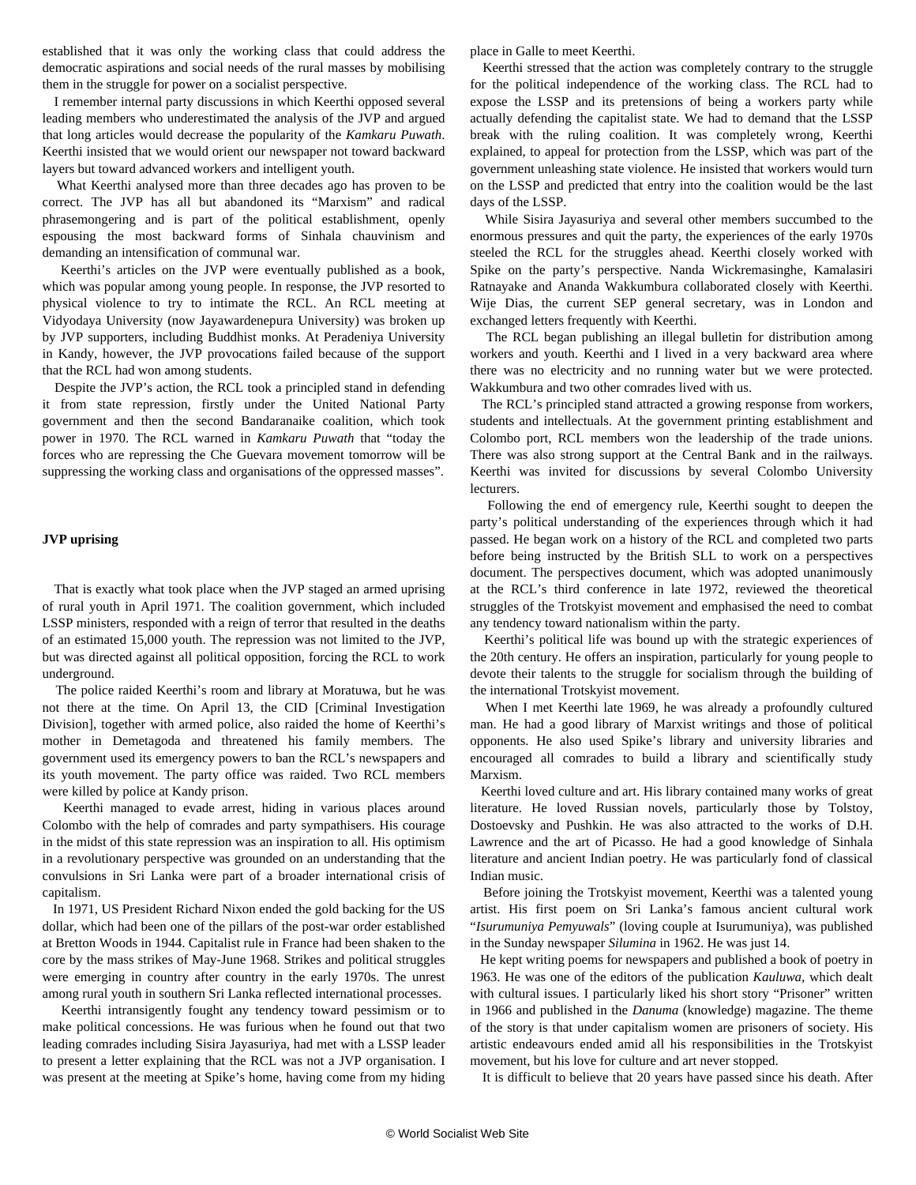established that it was only the working class that could address the democratic aspirations and social needs of the rural masses by mobilising them in the struggle for power on a socialist perspective.

 I remember internal party discussions in which Keerthi opposed several leading members who underestimated the analysis of the JVP and argued that long articles would decrease the popularity of the *Kamkaru Puwath*. Keerthi insisted that we would orient our newspaper not toward backward layers but toward advanced workers and intelligent youth.

 What Keerthi analysed more than three decades ago has proven to be correct. The JVP has all but abandoned its "Marxism" and radical phrasemongering and is part of the political establishment, openly espousing the most backward forms of Sinhala chauvinism and demanding an intensification of communal war.

 Keerthi's articles on the JVP were eventually published as a book, which was popular among young people. In response, the JVP resorted to physical violence to try to intimate the RCL. An RCL meeting at Vidyodaya University (now Jayawardenepura University) was broken up by JVP supporters, including Buddhist monks. At Peradeniya University in Kandy, however, the JVP provocations failed because of the support that the RCL had won among students.

 Despite the JVP's action, the RCL took a principled stand in defending it from state repression, firstly under the United National Party government and then the second Bandaranaike coalition, which took power in 1970. The RCL warned in *Kamkaru Puwath* that "today the forces who are repressing the Che Guevara movement tomorrow will be suppressing the working class and organisations of the oppressed masses".

## **JVP uprising**

 That is exactly what took place when the JVP staged an armed uprising of rural youth in April 1971. The coalition government, which included LSSP ministers, responded with a reign of terror that resulted in the deaths of an estimated 15,000 youth. The repression was not limited to the JVP, but was directed against all political opposition, forcing the RCL to work underground.

 The police raided Keerthi's room and library at Moratuwa, but he was not there at the time. On April 13, the CID [Criminal Investigation Division], together with armed police, also raided the home of Keerthi's mother in Demetagoda and threatened his family members. The government used its emergency powers to ban the RCL's newspapers and its youth movement. The party office was raided. Two RCL members were killed by police at Kandy prison.

 Keerthi managed to evade arrest, hiding in various places around Colombo with the help of comrades and party sympathisers. His courage in the midst of this state repression was an inspiration to all. His optimism in a revolutionary perspective was grounded on an understanding that the convulsions in Sri Lanka were part of a broader international crisis of capitalism.

 In 1971, US President Richard Nixon ended the gold backing for the US dollar, which had been one of the pillars of the post-war order established at Bretton Woods in 1944. Capitalist rule in France had been shaken to the core by the mass strikes of May-June 1968. Strikes and political struggles were emerging in country after country in the early 1970s. The unrest among rural youth in southern Sri Lanka reflected international processes.

 Keerthi intransigently fought any tendency toward pessimism or to make political concessions. He was furious when he found out that two leading comrades including Sisira Jayasuriya, had met with a LSSP leader to present a letter explaining that the RCL was not a JVP organisation. I was present at the meeting at Spike's home, having come from my hiding place in Galle to meet Keerthi.

 Keerthi stressed that the action was completely contrary to the struggle for the political independence of the working class. The RCL had to expose the LSSP and its pretensions of being a workers party while actually defending the capitalist state. We had to demand that the LSSP break with the ruling coalition. It was completely wrong, Keerthi explained, to appeal for protection from the LSSP, which was part of the government unleashing state violence. He insisted that workers would turn on the LSSP and predicted that entry into the coalition would be the last days of the LSSP.

 While Sisira Jayasuriya and several other members succumbed to the enormous pressures and quit the party, the experiences of the early 1970s steeled the RCL for the struggles ahead. Keerthi closely worked with Spike on the party's perspective. Nanda Wickremasinghe, Kamalasiri Ratnayake and Ananda Wakkumbura collaborated closely with Keerthi. Wije Dias, the current SEP general secretary, was in London and exchanged letters frequently with Keerthi.

 The RCL began publishing an illegal bulletin for distribution among workers and youth. Keerthi and I lived in a very backward area where there was no electricity and no running water but we were protected. Wakkumbura and two other comrades lived with us.

 The RCL's principled stand attracted a growing response from workers, students and intellectuals. At the government printing establishment and Colombo port, RCL members won the leadership of the trade unions. There was also strong support at the Central Bank and in the railways. Keerthi was invited for discussions by several Colombo University lecturers.

 Following the end of emergency rule, Keerthi sought to deepen the party's political understanding of the experiences through which it had passed. He began work on a history of the RCL and completed two parts before being instructed by the British SLL to work on a perspectives document. The perspectives document, which was adopted unanimously at the RCL's third conference in late 1972, reviewed the theoretical struggles of the Trotskyist movement and emphasised the need to combat any tendency toward nationalism within the party.

 Keerthi's political life was bound up with the strategic experiences of the 20th century. He offers an inspiration, particularly for young people to devote their talents to the struggle for socialism through the building of the international Trotskyist movement.

 When I met Keerthi late 1969, he was already a profoundly cultured man. He had a good library of Marxist writings and those of political opponents. He also used Spike's library and university libraries and encouraged all comrades to build a library and scientifically study Marxism.

 Keerthi loved culture and art. His library contained many works of great literature. He loved Russian novels, particularly those by Tolstoy, Dostoevsky and Pushkin. He was also attracted to the works of D.H. Lawrence and the art of Picasso. He had a good knowledge of Sinhala literature and ancient Indian poetry. He was particularly fond of classical Indian music.

 Before joining the Trotskyist movement, Keerthi was a talented young artist. His first poem on Sri Lanka's famous ancient cultural work "*Isurumuniya Pemyuwals*" (loving couple at Isurumuniya), was published in the Sunday newspaper *Silumina* in 1962. He was just 14.

 He kept writing poems for newspapers and published a book of poetry in 1963. He was one of the editors of the publication *Kauluwa,* which dealt with cultural issues. I particularly liked his short story "Prisoner" written in 1966 and published in the *Danuma* (knowledge) magazine. The theme of the story is that under capitalism women are prisoners of society. His artistic endeavours ended amid all his responsibilities in the Trotskyist movement, but his love for culture and art never stopped.

It is difficult to believe that 20 years have passed since his death. After